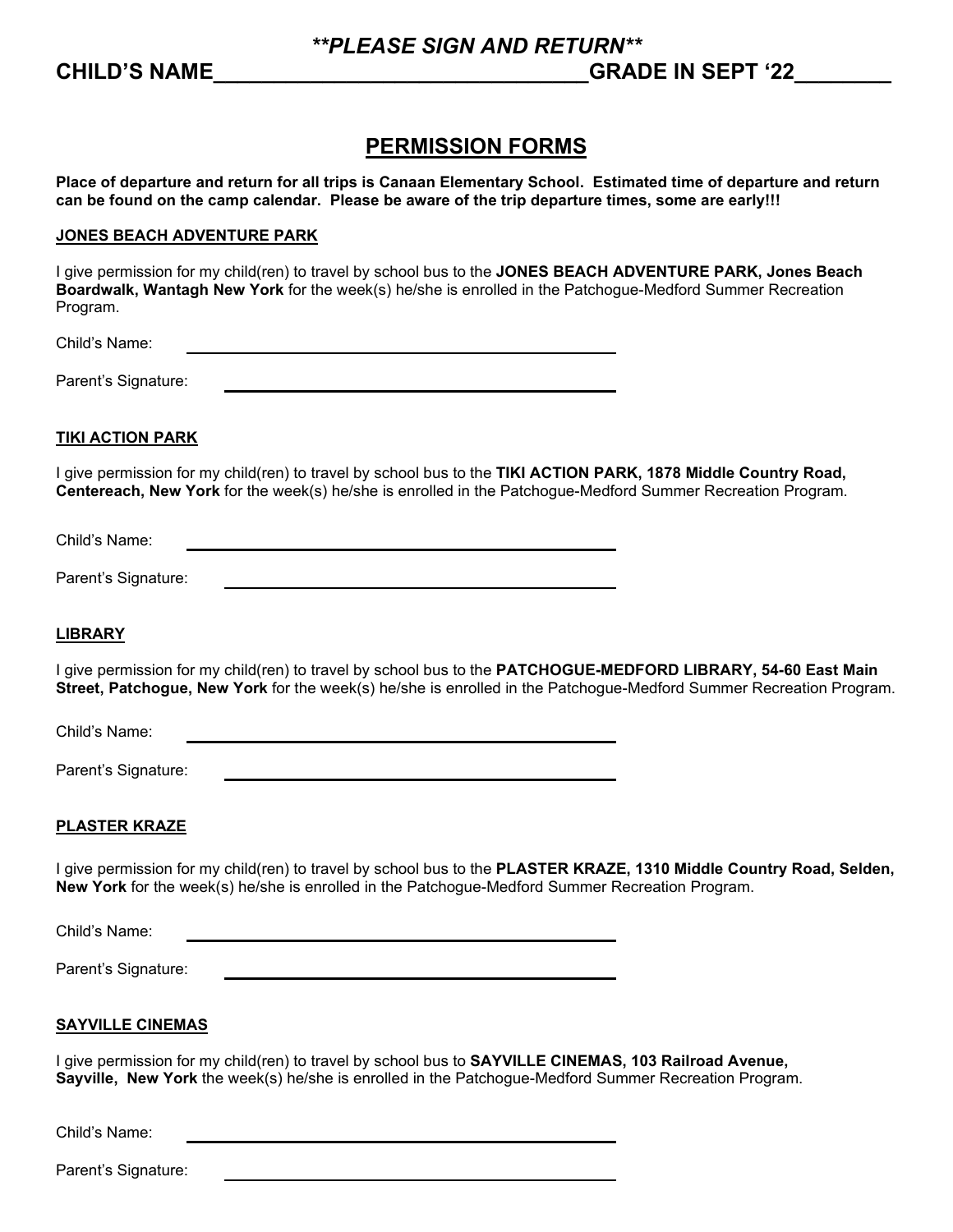# **PERMISSION FORMS**

**Place of departure and return for all trips is Canaan Elementary School. Estimated time of departure and return can be found on the camp calendar. Please be aware of the trip departure times, some are early!!!**

#### **JONES BEACH ADVENTURE PARK**

I give permission for my child(ren) to travel by school bus to the **JONES BEACH ADVENTURE PARK, Jones Beach Boardwalk, Wantagh New York** for the week(s) he/she is enrolled in the Patchogue-Medford Summer Recreation Program.

Child's Name:

Parent's Signature:

## **TIKI ACTION PARK**

I give permission for my child(ren) to travel by school bus to the **TIKI ACTION PARK, 1878 Middle Country Road, Centereach, New York** for the week(s) he/she is enrolled in the Patchogue-Medford Summer Recreation Program.

Child's Name:

Parent's Signature:

## **LIBRARY**

I give permission for my child(ren) to travel by school bus to the **PATCHOGUE-MEDFORD LIBRARY, 54-60 East Main Street, Patchogue, New York** for the week(s) he/she is enrolled in the Patchogue-Medford Summer Recreation Program.

Child's Name:

Parent's Signature:

## **PLASTER KRAZE**

I give permission for my child(ren) to travel by school bus to the **PLASTER KRAZE, 1310 Middle Country Road, Selden, New York** for the week(s) he/she is enrolled in the Patchogue-Medford Summer Recreation Program.

Child's Name:

Parent's Signature:

#### **SAYVILLE CINEMAS**

I give permission for my child(ren) to travel by school bus to **SAYVILLE CINEMAS, 103 Railroad Avenue, Sayville, New York** the week(s) he/she is enrolled in the Patchogue-Medford Summer Recreation Program.

Child's Name:

Parent's Signature: